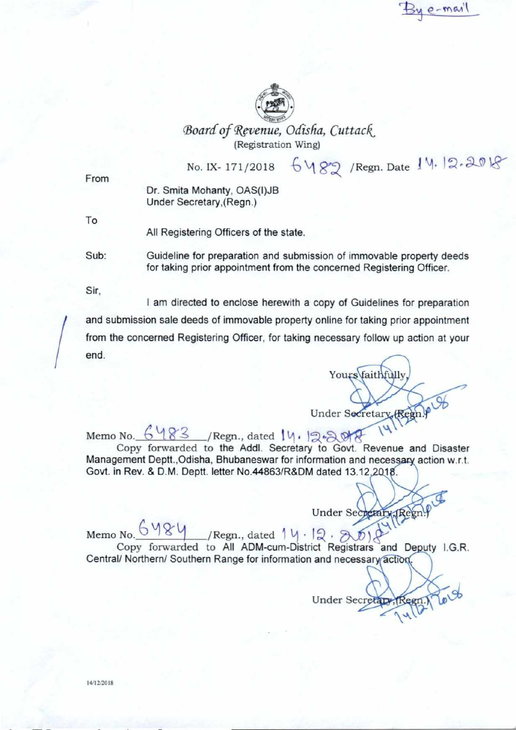By e-mail



Board of Revenue, Odisha, Cuttack (Registration Wing)

 $No. IX - 171/2018 6489$  /Regn. Date  $14.12.2018$ 

From

Dr. Smita Mohanty, OAS(I)JB Under Secretary,(Regn.)

To

All Registering Officers of the state.

Sub: Guideline for preparation and submission of immovable property deeds for taking prior appointment from the concerned Registering Officer.

Sir.

I am directed to enclose herewith a copy of Guidelines for preparation and submission sale deeds of immovable property online for taking prior appointment from the concerned Registering Officer, for taking necessary follow up action at your end.

Yours faithfully Under Secretary (Regn.)

Memo No.  $6483$  /Regn., dated 14. 12.2018 Copy forwarded to the Addl. Secretary to Govt. Revenue and Disaster

Management Deptt., Odisha, Bhubaneswar for information and necessary action w.r.t. Govt. in Rev. & D.M. Deptt. letter No.44863/R&DM dated 13.12.

 $Under Sec<sub>1</sub> (Re) <sup>0</sup>$ 

Memo No.  $\frac{6484}{1}$ /Regn., dated 1 kl • 12 Copy forwarded to All ADM-cum-District Registrars and Deputy I.G.R. Central/ Northern/ Southern Range for information and necessary action.  $\mathcal{A}$ 

Under Secretary, Reen. You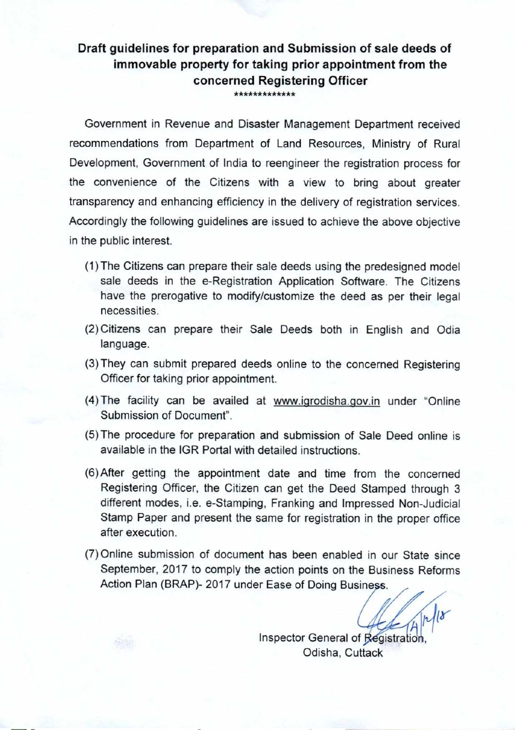## **Draft guidelines for preparation and Submission of sale deeds of immovable property for taking prior appointment from the concerned Registering Officer**  \*\*\*\*\*\*\*\*\*\*\*\*

Government in Revenue and Disaster Management Department received recommendations from Department of Land Resources, Ministry of Rural Development. Government of India to reengineer the registration process for the convenience of the Citizens with a view to bring about greater transparency and enhancing efficiency in the delivery of registration services. Accordingly the following guidelines are issued to achieve the above objective in the public interest.

- (1) The Citizens can prepare their sale deeds using the predesigned model sale deeds in the e-Registration Application Software. The Citizens have the prerogative to modify/customize the deed as per their legal necessities.
- (2) Citizens can prepare their Sale Deeds both in English and Odia language.
- (3) They can submit prepared deeds online to the concerned Registering Officer for taking prior appointment.
- (4) The facility can be availed at www.igrodisha.gov.in under "Online Submission of Document".
- (5) The procedure for preparation and submission of Sale Deed online is available in the IGR Portal with detailed instructions.
- (6)After getting the appointment date and time from the concerned Registering Officer, the Citizen can get the Deed Stamped through 3 different modes, i.e. e-Stamping. Franking and Impressed Non-Judicial Stamp Paper and present the same for registration in the proper office after execution.
- (7) Online submission of document has been enabled in our State since September, 2017 to comply the action points on the Business Reforms Action Plan (BRAP)- 2017 under Ease of Doing Business.

 $\frac{1}{2}$  Inspector General of Registration.

Odisha, Cuttack